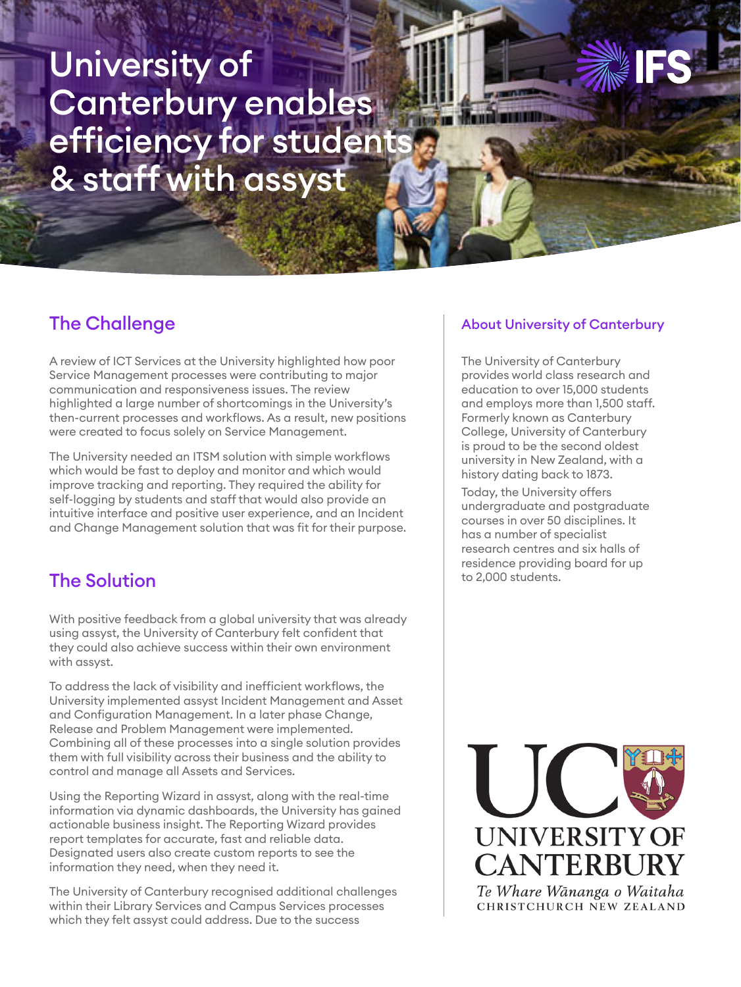# University of Canterbury enables efficiency for students & staff with assyst

## The Challenge

A review of ICT Services at the University highlighted how poor Service Management processes were contributing to major communication and responsiveness issues. The review highlighted a large number of shortcomings in the University's then-current processes and workflows. As a result, new positions were created to focus solely on Service Management.

The University needed an ITSM solution with simple workflows which would be fast to deploy and monitor and which would improve tracking and reporting. They required the ability for self-logging by students and staff that would also provide an intuitive interface and positive user experience, and an Incident and Change Management solution that was fit for their purpose.

## The Solution

With positive feedback from a global university that was already using assyst, the University of Canterbury felt confident that they could also achieve success within their own environment with assyst.

To address the lack of visibility and inefficient workflows, the University implemented assyst Incident Management and Asset and Configuration Management. In a later phase Change, Release and Problem Management were implemented. Combining all of these processes into a single solution provides them with full visibility across their business and the ability to control and manage all Assets and Services.

Using the Reporting Wizard in assyst, along with the real-time information via dynamic dashboards, the University has gained actionable business insight. The Reporting Wizard provides report templates for accurate, fast and reliable data. Designated users also create custom reports to see the information they need, when they need it.

The University of Canterbury recognised additional challenges within their Library Services and Campus Services processes which they felt assyst could address. Due to the success

#### About University of Canterbury

The University of Canterbury provides world class research and education to over 15,000 students and employs more than 1,500 staff. Formerly known as Canterbury College, University of Canterbury is proud to be the second oldest university in New Zealand, with a history dating back to 1873.

Today, the University offers undergraduate and postgraduate courses in over 50 disciplines. It has a number of specialist research centres and six halls of residence providing board for up to 2,000 students.



CHRISTCHURCH NEW ZEALAND